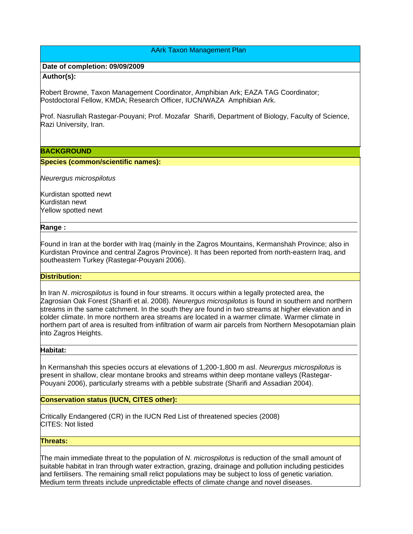# AArk Taxon Management Plan

## **Date of completion: 09/09/2009**

## **Author(s):**

Robert Browne, Taxon Management Coordinator, Amphibian Ark; EAZA TAG Coordinator; Postdoctoral Fellow, KMDA; Research Officer, IUCN/WAZA Amphibian Ark.

Prof. Nasrullah Rastegar-Pouyani; Prof. Mozafar Sharifi, Department of Biology, Faculty of Science, Razi University, Iran.

## **BACKGROUND**

## **Species (common/scientific names):**

*Neurergus microspilotus*

Kurdistan spotted newt Kurdistan newt Yellow spotted newt

## **Range :**

Found in Iran at the border with Iraq (mainly in the Zagros Mountains, Kermanshah Province; also in Kurdistan Province and central Zagros Province). It has been reported from north-eastern Iraq, and southeastern Turkey (Rastegar-Pouyani 2006).

## **Distribution:**

In Iran *N*. *microspilotus* is found in four streams. It occurs within a legally protected area, the Zagrosian Oak Forest (Sharifi et al. 2008). *Neurergus microspilotus* is found in southern and northern streams in the same catchment. In the south they are found in two streams at higher elevation and in colder climate. In more northern area streams are located in a warmer climate. Warmer climate in northern part of area is resulted from infiltration of warm air parcels from Northern Mesopotamian plain into Zagros Heights.

## **Habitat:**

In Kermanshah this species occurs at elevations of 1,200-1,800 m asl. *Neurergus microspilotus* is present in shallow, clear montane brooks and streams within deep montane valleys (Rastegar-Pouyani 2006), particularly streams with a pebble substrate (Sharifi and Assadian 2004).

**Conservation status (IUCN, CITES other):**

Critically Endangered (CR) in the IUCN Red List of threatened species (2008) CITES: Not listed

# **Threats:**

The main immediate threat to the population of *N*. *microspilotus* is reduction of the small amount of suitable habitat in Iran through water extraction, grazing, drainage and pollution including pesticides and fertilisers. The remaining small relict populations may be subject to loss of genetic variation. Medium term threats include unpredictable effects of climate change and novel diseases.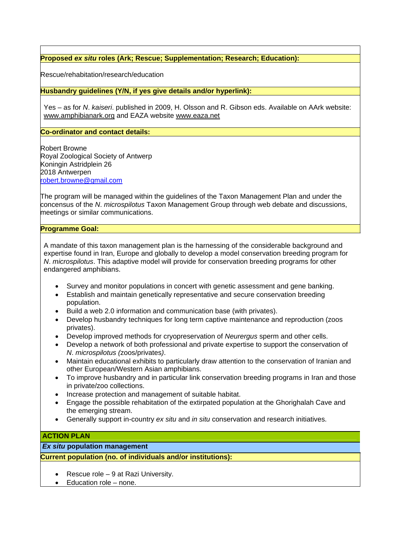**Proposed** *ex situ* **roles (Ark; Rescue; Supplementation; Research; Education):**

Rescue/rehabitation/research/education

**Husbandry guidelines (Y/N, if yes give details and/or hyperlink):**

Yes – as for *N*. *kaiseri*. published in 2009, H. Olsson and R. Gibson eds. Available on AArk website: www.amphibianark.org and EAZA website www.eaza.net

**Co-ordinator and contact details:**

Robert Browne Royal Zoological Society of Antwerp Koningin Astridplein 26 2018 Antwerpen robert.browne@gmail.com

The program will be managed within the guidelines of the Taxon Management Plan and under the concensus of the *N*. *microspilotus* Taxon Management Group through web debate and discussions, meetings or similar communications.

## **Programme Goal:**

A mandate of this taxon management plan is the harnessing of the considerable background and expertise found in Iran, Europe and globally to develop a model conservation breeding program for *N*. *microspilotus*. This adaptive model will provide for conservation breeding programs for other endangered amphibians.

- Survey and monitor populations in concert with genetic assessment and gene banking.
- Establish and maintain genetically representative and secure conservation breeding population.
- Build a web 2.0 information and communication base (with privates).
- Develop husbandry techniques for long term captive maintenance and reproduction (zoos privates).
- Develop improved methods for cryopreservation of *Neurergus* sperm and other cells.
- Develop a network of both professional and private expertise to support the conservation of *N*. *microspilotus (*zoos/privates*)*.
- Maintain educational exhibits to particularly draw attention to the conservation of Iranian and other European/Western Asian amphibians.
- To improve husbandry and in particular link conservation breeding programs in Iran and those in private/zoo collections.
- Increase protection and management of suitable habitat.
- Engage the possible rehabitation of the extirpated population at the Ghorighalah Cave and the emerging stream.
- Generally support in-country *ex situ* and *in situ* conservation and research initiatives.

# **ACTION PLAN**

*Ex situ* **population management** 

**Current population (no. of individuals and/or institutions):**

- Rescue role 9 at Razi University.
- Education role none.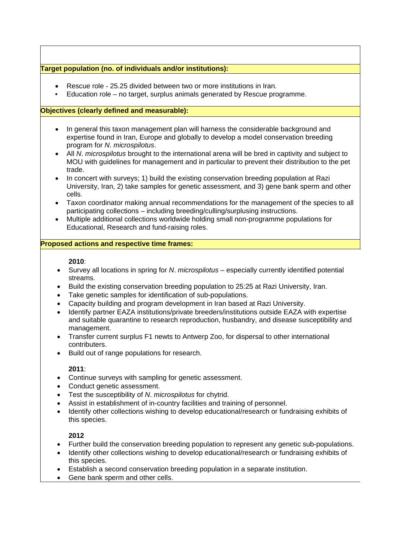# **Target population (no. of individuals and/or institutions):**

- Rescue role 25.25 divided between two or more institutions in Iran.
- Education role no target, surplus animals generated by Rescue programme.

## **Objectives (clearly defined and measurable):**

- In general this taxon management plan will harness the considerable background and expertise found in Iran, Europe and globally to develop a model conservation breeding program for *N*. *microspilotus*.
- All *N*. *microspilotus* brought to the international arena will be bred in captivity and subject to MOU with guidelines for management and in particular to prevent their distribution to the pet trade.
- In concert with surveys; 1) build the existing conservation breeding population at Razi University, Iran, 2) take samples for genetic assessment, and 3) gene bank sperm and other cells.
- Taxon coordinator making annual recommendations for the management of the species to all participating collections – including breeding/culling/surplusing instructions.
- Multiple additional collections worldwide holding small non-programme populations for Educational, Research and fund-raising roles.

## **Proposed actions and respective time frames:**

## **2010**:

- Survey all locations in spring for *N*. *microspilotus* especially currently identified potential streams.
- Build the existing conservation breeding population to 25:25 at Razi University, Iran.
- Take genetic samples for identification of sub-populations.
- Capacity building and program development in Iran based at Razi University.
- Identify partner EAZA institutions/private breeders/institutions outside EAZA with expertise and suitable quarantine to research reproduction, husbandry, and disease susceptibility and management.
- Transfer current surplus F1 newts to Antwerp Zoo, for dispersal to other international contributers.
- Build out of range populations for research.

## **2011**:

- Continue surveys with sampling for genetic assessment.
- Conduct genetic assessment.
- Test the susceptibility of *N*. *microspilotus* for chytrid.
- Assist in establishment of in-country facilities and training of personnel.
- Identify other collections wishing to develop educational/research or fundraising exhibits of this species.

# **2012**

- Further build the conservation breeding population to represent any genetic sub-populations.
- Identify other collections wishing to develop educational/research or fundraising exhibits of this species.
- Establish a second conservation breeding population in a separate institution.
- Gene bank sperm and other cells.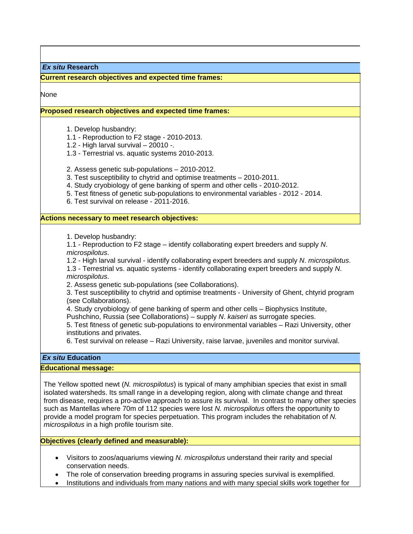*Ex situ* **Research** 

**Current research objectives and expected time frames:**

None

## **Proposed research objectives and expected time frames:**

1. Develop husbandry:

1.1 - Reproduction to F2 stage - 2010-2013.

1.2 - High larval survival – 20010 -.

1.3 - Terrestrial vs. aquatic systems 2010-2013.

2. Assess genetic sub-populations – 2010-2012.

3. Test susceptibility to chytrid and optimise treatments – 2010-2011.

- 4. Study cryobiology of gene banking of sperm and other cells 2010-2012.
- 5. Test fitness of genetic sub-populations to environmental variables 2012 2014.

6. Test survival on release - 2011-2016.

#### **Actions necessary to meet research objectives:**

1. Develop husbandry:

1.1 - Reproduction to F2 stage – identify collaborating expert breeders and supply *N*. *microspilotus*.

1.2 - High larval survival - identify collaborating expert breeders and supply *N*. *microspilotus*.

1.3 - Terrestrial vs. aquatic systems - identify collaborating expert breeders and supply *N*. *microspilotus*.

2. Assess genetic sub-populations (see Collaborations).

3. Test susceptibility to chytrid and optimise treatments - University of Ghent, chtyrid program (see Collaborations).

4. Study cryobiology of gene banking of sperm and other cells – Biophysics Institute,

Pushchino, Russia (see Collaborations) – supply *N*. *kaiseri* as surrogate species.

5. Test fitness of genetic sub-populations to environmental variables – Razi University, other institutions and privates.

6. Test survival on release – Razi University, raise larvae, juveniles and monitor survival.

# *Ex situ* **Education**

#### **Educational message:**

The Yellow spotted newt (*N. microspilotus*) is typical of many amphibian species that exist in small isolated watersheds. Its small range in a developing region, along with climate change and threat from disease, requires a pro-active approach to assure its survival. In contrast to many other species such as Mantellas where 70m of 112 species were lost *N. microspilotus* offers the opportunity to provide a model program for species perpetuation. This program includes the rehabitation of *N. microspilotus* in a high profile tourism site.

**Objectives (clearly defined and measurable):** 

- Visitors to zoos/aquariums viewing *N. microspilotus* understand their rarity and special conservation needs.
- The role of conservation breeding programs in assuring species survival is exemplified.
- Institutions and individuals from many nations and with many special skills work together for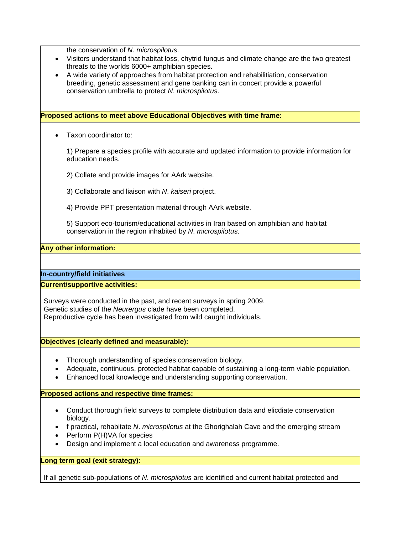the conservation of *N*. *microspilotus*.

- Visitors understand that habitat loss, chytrid fungus and climate change are the two greatest threats to the worlds 6000+ amphibian species.
- A wide variety of approaches from habitat protection and rehabilitiation, conservation breeding, genetic assessment and gene banking can in concert provide a powerful conservation umbrella to protect *N*. *microspilotus*.

## **Proposed actions to meet above Educational Objectives with time frame:**

Taxon coordinator to:

1) Prepare a species profile with accurate and updated information to provide information for education needs.

- 2) Collate and provide images for AArk website.
- 3) Collaborate and liaison with *N*. *kaiseri* project.
- 4) Provide PPT presentation material through AArk website.

5) Support eco-tourism/educational activities in Iran based on amphibian and habitat conservation in the region inhabited by *N*. *microspilotus*.

# **Any other information:**

**In-country/field initiatives** 

## **Current/supportive activities:**

Surveys were conducted in the past, and recent surveys in spring 2009. Genetic studies of the *Neurergus* clade have been completed. Reproductive cycle has been investigated from wild caught individuals.

## **Objectives (clearly defined and measurable):**

- Thorough understanding of species conservation biology.
- Adequate, continuous, protected habitat capable of sustaining a long-term viable population.
- Enhanced local knowledge and understanding supporting conservation.

## **Proposed actions and respective time frames:**

- Conduct thorough field surveys to complete distribution data and elicdiate conservation biology.
- f practical, rehabitate *N*. *microspilotus* at the Ghorighalah Cave and the emerging stream
- Perform P(H)VA for species
- Design and implement a local education and awareness programme.

## **Long term goal (exit strategy):**

If all genetic sub-populations of *N*. *microspilotus* are identified and current habitat protected and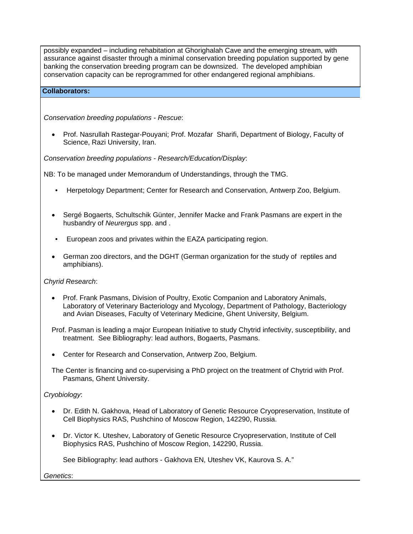possibly expanded – including rehabitation at Ghorighalah Cave and the emerging stream, with assurance against disaster through a minimal conservation breeding population supported by gene banking the conservation breeding program can be downsized. The developed amphibian conservation capacity can be reprogrammed for other endangered regional amphibians.

# **Collaborators:**

*Conservation breeding populations - Rescue*:

 Prof. Nasrullah Rastegar-Pouyani; Prof. Mozafar Sharifi, Department of Biology, Faculty of Science, Razi University, Iran.

*Conservation breeding populations - Research/Education/Display*:

NB: To be managed under Memorandum of Understandings, through the TMG.

- Herpetology Department; Center for Research and Conservation, Antwerp Zoo, Belgium.
- Sergé Bogaerts, Schultschik Günter, Jennifer Macke and Frank Pasmans are expert in the husbandry of *Neurergus* spp. and .
- European zoos and privates within the EAZA participating region.
- German zoo directors, and the DGHT (German organization for the study of reptiles and amphibians).

## *Chyrid Research*:

 Prof. Frank Pasmans, Division of Poultry, Exotic Companion and Laboratory Animals, Laboratory of Veterinary Bacteriology and Mycology, Department of Pathology, Bacteriology and Avian Diseases, Faculty of Veterinary Medicine, Ghent University, Belgium.

Prof. Pasman is leading a major European Initiative to study Chytrid infectivity, susceptibility, and treatment. See Bibliography: lead authors, Bogaerts, Pasmans.

Center for Research and Conservation, Antwerp Zoo, Belgium.

The Center is financing and co-supervising a PhD project on the treatment of Chytrid with Prof. Pasmans, Ghent University.

# *Cryobiology*:

- Dr. Edith N. Gakhova, Head of Laboratory of Genetic Resource Cryopreservation, Institute of Cell Biophysics RAS, Pushchino of Moscow Region, 142290, Russia.
- Dr. Victor K. Uteshev, Laboratory of Genetic Resource Cryopreservation, Institute of Cell Biophysics RAS, Pushchino of Moscow Region, 142290, Russia.

See Bibliography: lead authors - Gakhova EN, Uteshev VK, Kaurova S. A."

*Genetics*: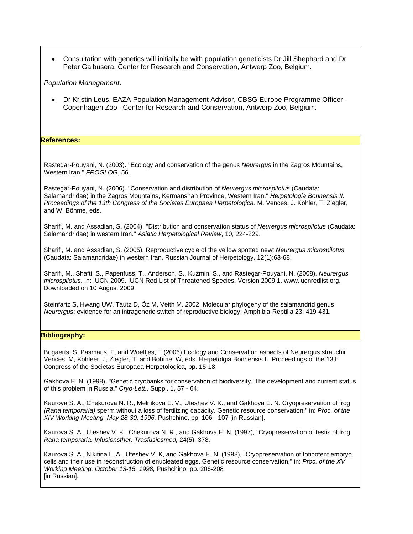Consultation with genetics will initially be with population geneticists Dr Jill Shephard and Dr Peter Galbusera, Center for Research and Conservation, Antwerp Zoo, Belgium.

*Population Management*.

 Dr Kristin Leus, EAZA Population Management Advisor, CBSG Europe Programme Officer - Copenhagen Zoo ; Center for Research and Conservation, Antwerp Zoo, Belgium.

**References:**

Rastegar-Pouyani, N. (2003). ''Ecology and conservation of the genus *Neurergus* in the Zagros Mountains, Western Iran.'' *FROGLOG*, 56.

Rastegar-Pouyani, N. (2006). ''Conservation and distribution of *Neurergus microspilotus* (Caudata: Salamandridae) in the Zagros Mountains, Kermanshah Province, Western Iran.'' *Herpetologia Bonnensis II. Proceedings of the 13th Congress of the Societas Europaea Herpetologica.* M. Vences, J. Köhler, T. Ziegler, and W. Böhme, eds.

Sharifi, M. and Assadian, S. (2004). ''Distribution and conservation status of *Neurergus microspilotus* (Caudata: Salamandridae) in western Iran.'' *Asiatic Herpetological Review*, 10, 224-229.

Sharifi, M. and Assadian, S. (2005). Reproductive cycle of the yellow spotted newt *Neurergus microspilotus* (Caudata: Salamandridae) in western Iran. Russian Journal of Herpetology. 12(1):63-68.

Sharifi, M., Shafti, S., Papenfuss, T., Anderson, S., Kuzmin, S., and Rastegar-Pouyani, N. (2008). *Neurergus microspilotus*. In: IUCN 2009. IUCN Red List of Threatened Species. Version 2009.1. www.iucnredlist.org. Downloaded on 10 August 2009.

Steinfartz S, Hwang UW, Tautz D, Öz M, Veith M. 2002. Molecular phylogeny of the salamandrid genus *Neurergus*: evidence for an intrageneric switch of reproductive biology. Amphibia-Reptilia 23: 419-431.

## **Bibliography:**

Bogaerts, S, Pasmans, F, and Woeltjes, T (2006) Ecology and Conservation aspects of Neurergus strauchii. Vences, M, Kohleer, J, Ziegler, T, and Bohme, W, eds. Herpetolgia Bonnensis II. Proceedings of the 13th Congress of the Societas Europaea Herpetologica, pp. 15-18.

Gakhova E. N. (1998), "Genetic cryobanks for conservation of biodiversity. The development and current status of this problem in Russia," *Cryo-Lett.,* Suppl. 1, 57 - 64.

Kaurova S. A., Chekurova N. R., Melnikova E. V., Uteshev V. K., and Gakhova E. N. Cryopreservation of frog *(Rana temporaria)* sperm without a loss of fertilizing capacity. Genetic resource conservation," in: *Proc. of the XIV Working Meeting, May 28-30, 1996,* Pushchino, pp. 106 - 107 [in Russian].

Kaurova S. A., Uteshev V. K., Chekurova N. R., and Gakhova E. N. (1997), "Cryopreservation of testis of frog *Rana temporaria. Infusionsther. Trasfusiosmed,* 24(5), 378.

Kaurova S. A., Nikitina L. A., Uteshev V. K, and Gakhova E. N. (1998), "Cryopreservation of totipotent embryo cells and their use in reconstruction of enucleated eggs. Genetic resource conservation," in: *Proc. of the XV Working Meeting, October 13-15, 1998,* Pushchino, pp. 206-208 [in Russian].